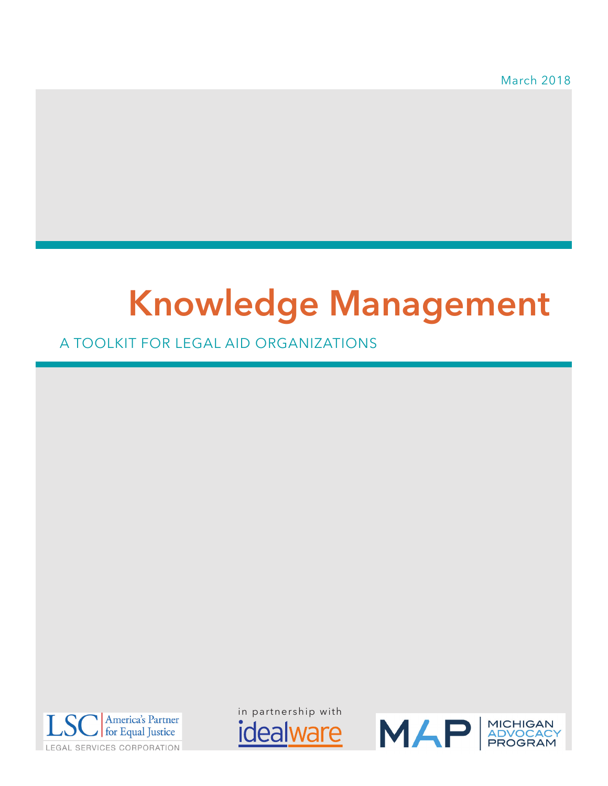March 2018

# **Knowledge Management**

A TOOLKIT FOR LEGAL AID ORGANIZATIONS



in partnership with*idealware* 

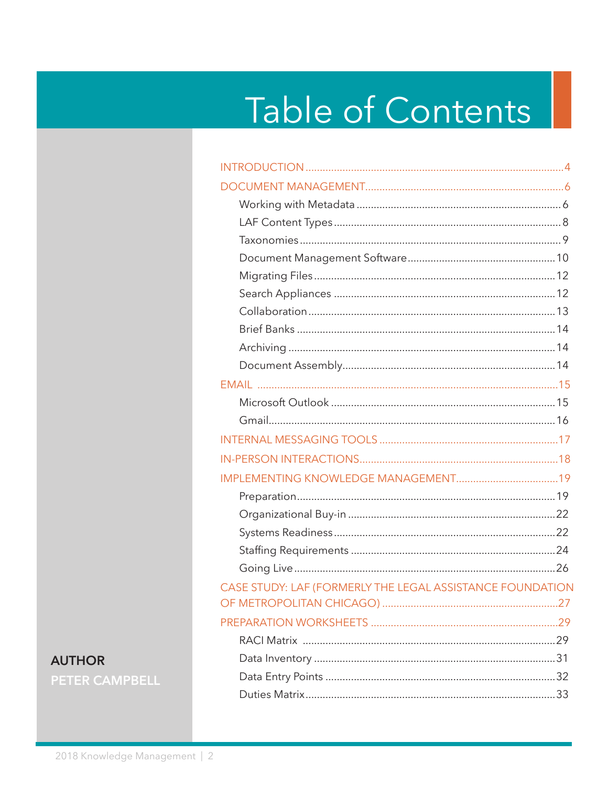# Table of Contents

| CASE STUDY: LAF (FORMERLY THE LEGAL ASSISTANCE FOUNDATION |
|-----------------------------------------------------------|
|                                                           |
|                                                           |
|                                                           |
|                                                           |
|                                                           |
|                                                           |

### **AUTHOR PETER CAMPBELL**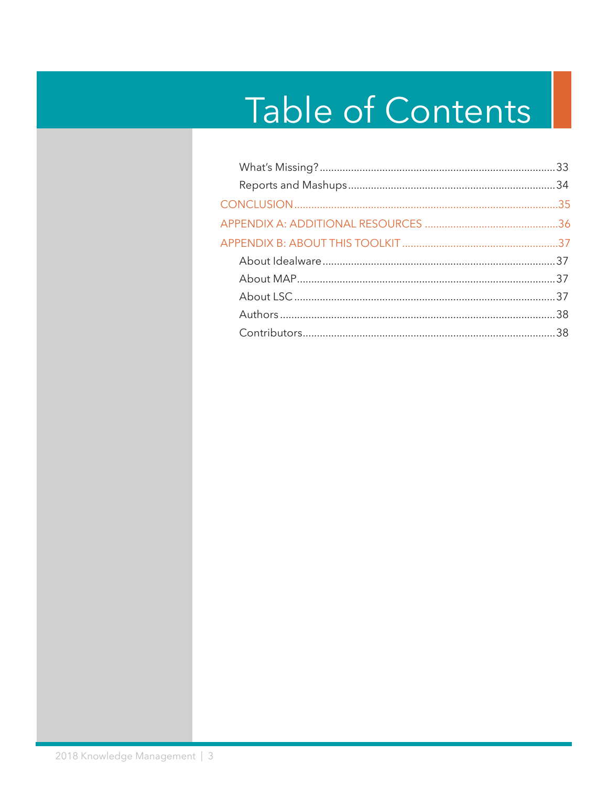# Table of Contents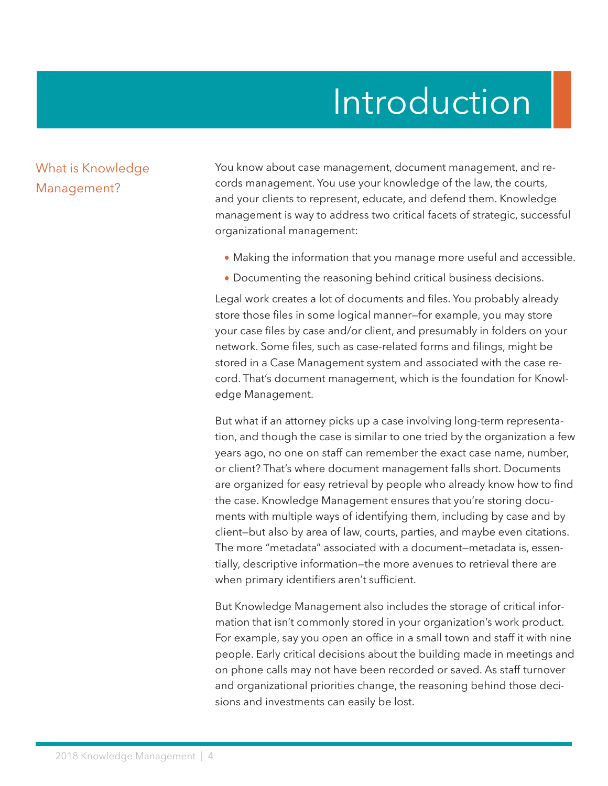## Introduction

#### <span id="page-3-0"></span>What is Knowledge Management?

You know about case management, document management, and records management. You use your knowledge of the law, the courts, and your clients to represent, educate, and defend them. Knowledge management is way to address two critical facets of strategic, successful organizational management:

- **•** Making the information that you manage more useful and accessible.
- **•** Documenting the reasoning behind critical business decisions.

Legal work creates a lot of documents and files. You probably already store those files in some logical manner—for example, you may store your case files by case and/or client, and presumably in folders on your network. Some files, such as case-related forms and filings, might be stored in a Case Management system and associated with the case record. That's document management, which is the foundation for Knowledge Management.

But what if an attorney picks up a case involving long-term representation, and though the case is similar to one tried by the organization a few years ago, no one on staff can remember the exact case name, number, or client? That's where document management falls short. Documents are organized for easy retrieval by people who already know how to find the case. Knowledge Management ensures that you're storing documents with multiple ways of identifying them, including by case and by client—but also by area of law, courts, parties, and maybe even citations. The more "metadata" associated with a document—metadata is, essentially, descriptive information—the more avenues to retrieval there are when primary identifiers aren't sufficient.

But Knowledge Management also includes the storage of critical information that isn't commonly stored in your organization's work product. For example, say you open an office in a small town and staff it with nine people. Early critical decisions about the building made in meetings and on phone calls may not have been recorded or saved. As staff turnover and organizational priorities change, the reasoning behind those decisions and investments can easily be lost.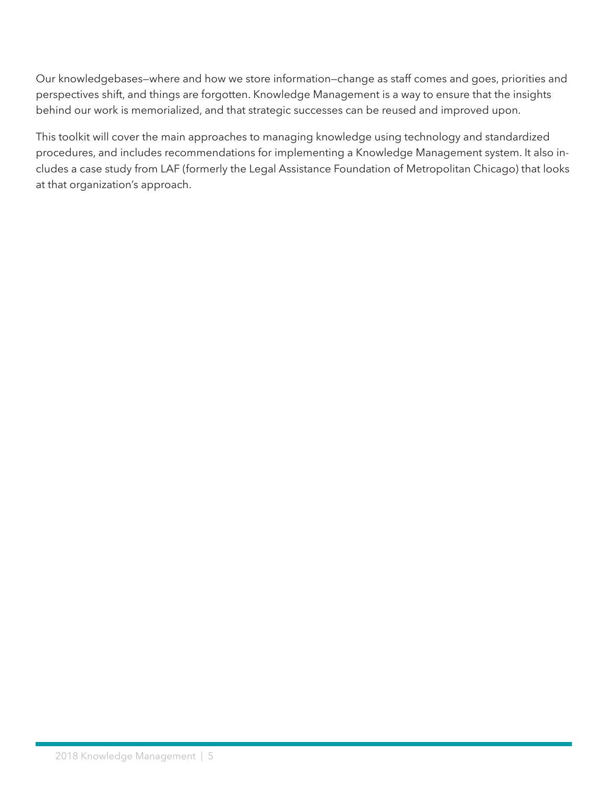Our knowledgebases—where and how we store information—change as staff comes and goes, priorities and perspectives shift, and things are forgotten. Knowledge Management is a way to ensure that the insights behind our work is memorialized, and that strategic successes can be reused and improved upon.

This toolkit will cover the main approaches to managing knowledge using technology and standardized procedures, and includes recommendations for implementing a Knowledge Management system. It also includes a case study from LAF (formerly the Legal Assistance Foundation of Metropolitan Chicago) that looks at that organization's approach.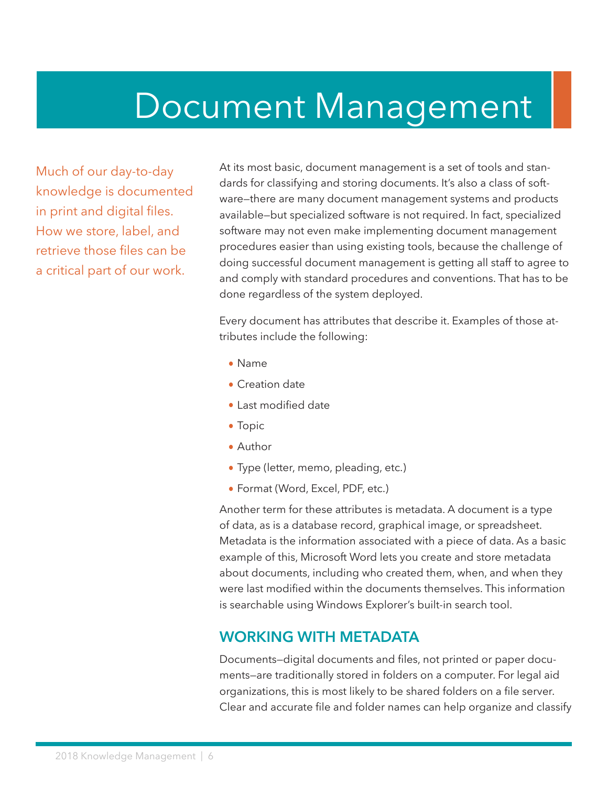## <span id="page-5-0"></span>Document Management

Much of our day-to-day knowledge is documented in print and digital files. How we store, label, and retrieve those files can be a critical part of our work.

At its most basic, document management is a set of tools and standards for classifying and storing documents. It's also a class of software—there are many document management systems and products available—but specialized software is not required. In fact, specialized software may not even make implementing document management procedures easier than using existing tools, because the challenge of doing successful document management is getting all staff to agree to and comply with standard procedures and conventions. That has to be done regardless of the system deployed.

Every document has attributes that describe it. Examples of those attributes include the following:

- **•** Name
- **•** Creation date
- **•** Last modified date
- **•** Topic
- **•** Author
- **•** Type (letter, memo, pleading, etc.)
- **•** Format (Word, Excel, PDF, etc.)

Another term for these attributes is metadata. A document is a type of data, as is a database record, graphical image, or spreadsheet. Metadata is the information associated with a piece of data. As a basic example of this, Microsoft Word lets you create and store metadata about documents, including who created them, when, and when they were last modified within the documents themselves. This information is searchable using Windows Explorer's built-in search tool.

#### **WORKING WITH METADATA**

Documents—digital documents and files, not printed or paper documents—are traditionally stored in folders on a computer. For legal aid organizations, this is most likely to be shared folders on a file server. Clear and accurate file and folder names can help organize and classify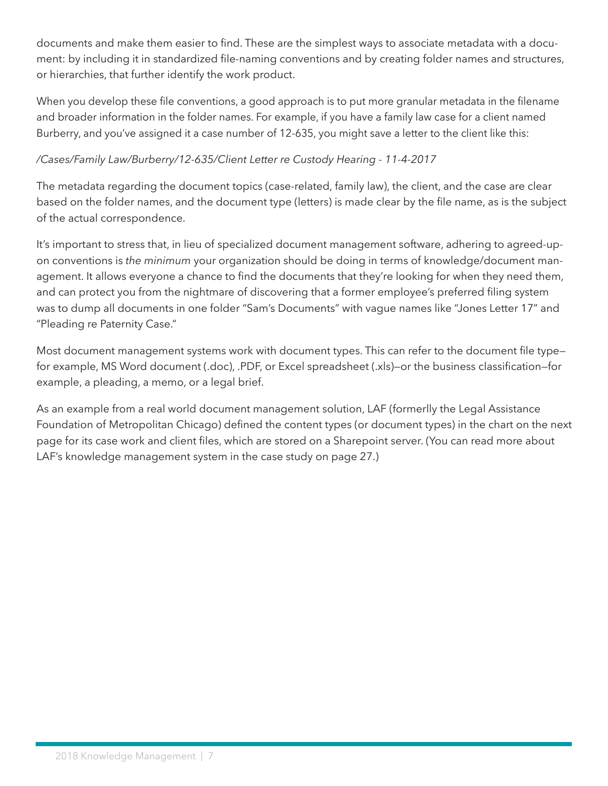<span id="page-6-0"></span>documents and make them easier to find. These are the simplest ways to associate metadata with a document: by including it in standardized file-naming conventions and by creating folder names and structures, or hierarchies, that further identify the work product.

When you develop these file conventions, a good approach is to put more granular metadata in the filename and broader information in the folder names. For example, if you have a family law case for a client named Burberry, and you've assigned it a case number of 12-635, you might save a letter to the client like this:

#### */Cases/Family Law/Burberry/12-635/Client Letter re Custody Hearing - 11-4-2017*

The metadata regarding the document topics (case-related, family law), the client, and the case are clear based on the folder names, and the document type (letters) is made clear by the file name, as is the subject of the actual correspondence.

It's important to stress that, in lieu of specialized document management software, adhering to agreed-upon conventions is *the minimum* your organization should be doing in terms of knowledge/document management. It allows everyone a chance to find the documents that they're looking for when they need them, and can protect you from the nightmare of discovering that a former employee's preferred filing system was to dump all documents in one folder "Sam's Documents" with vague names like "Jones Letter 17" and "Pleading re Paternity Case."

Most document management systems work with document types. This can refer to the document file type for example, MS Word document (.doc), .PDF, or Excel spreadsheet (.xls)—or the business classification—for example, a pleading, a memo, or a legal brief.

As an example from a real world document management solution, LAF (formerlly the Legal Assistance Foundation of Metropolitan Chicago) defined the content types (or document types) in the chart on the next page for its case work and client files, which are stored on a Sharepoint server. (You can read more about LAF's knowledge management system in the case study on page 27.)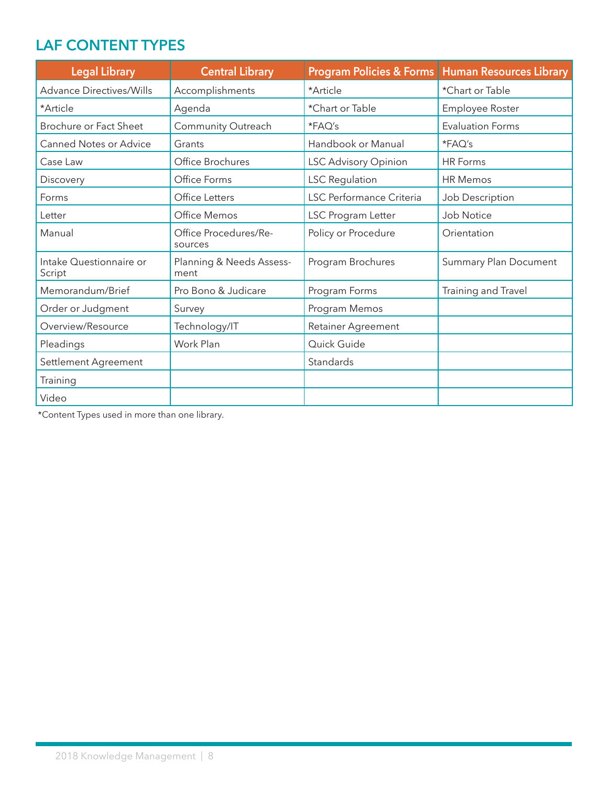### <span id="page-7-0"></span>**LAF CONTENT TYPES**

| <b>Legal Library</b>              | <b>Central Library</b>           |                             | Program Policies & Forms   Human Resources Library |
|-----------------------------------|----------------------------------|-----------------------------|----------------------------------------------------|
| <b>Advance Directives/Wills</b>   | Accomplishments                  | *Article                    | *Chart or Table                                    |
| *Article                          | Agenda                           | *Chart or Table             | Employee Roster                                    |
| Brochure or Fact Sheet            | Community Outreach               | *FAQ's                      | <b>Evaluation Forms</b>                            |
| <b>Canned Notes or Advice</b>     | Grants                           | Handbook or Manual          | *FAQ's                                             |
| Case Law                          | Office Brochures                 | <b>LSC Advisory Opinion</b> | <b>HR Forms</b>                                    |
| Discovery                         | Office Forms                     | <b>LSC Regulation</b>       | <b>HR Memos</b>                                    |
| Forms                             | Office Letters                   | LSC Performance Criteria    | Job Description                                    |
| Letter                            | Office Memos                     | LSC Program Letter          | Job Notice                                         |
| Manual                            | Office Procedures/Re-<br>sources | Policy or Procedure         | Orientation                                        |
| Intake Questionnaire or<br>Script | Planning & Needs Assess-<br>ment | Program Brochures           | <b>Summary Plan Document</b>                       |
| Memorandum/Brief                  | Pro Bono & Judicare              | Program Forms               | Training and Travel                                |
| Order or Judgment                 | Survey                           | Program Memos               |                                                    |
| Overview/Resource                 | Technology/IT                    | <b>Retainer Agreement</b>   |                                                    |
| Pleadings                         | Work Plan                        | Quick Guide                 |                                                    |
| Settlement Agreement              |                                  | Standards                   |                                                    |
| Training                          |                                  |                             |                                                    |
| Video                             |                                  |                             |                                                    |

\*Content Types used in more than one library.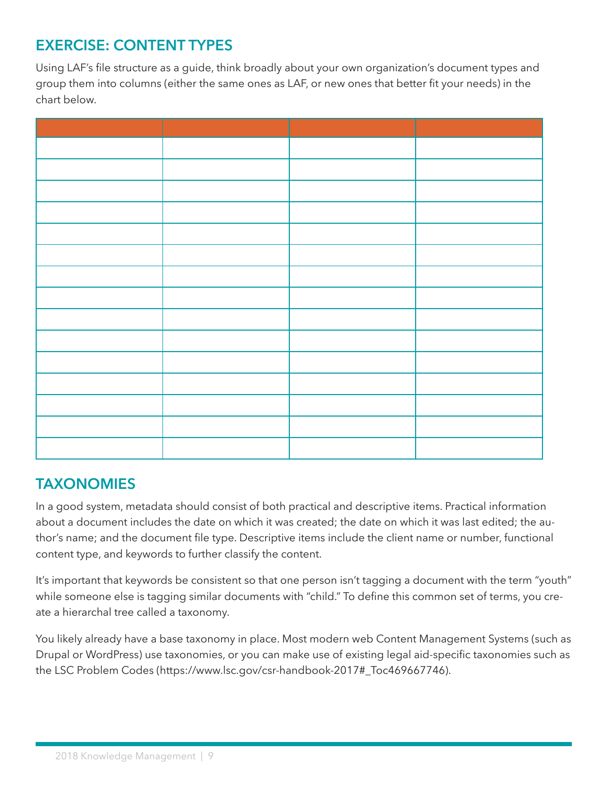## <span id="page-8-0"></span>**EXERCISE: CONTENT TYPES**

Using LAF's file structure as a guide, think broadly about your own organization's document types and group them into columns (either the same ones as LAF, or new ones that better fit your needs) in the chart below.

### **TAXONOMIES**

In a good system, metadata should consist of both practical and descriptive items. Practical information about a document includes the date on which it was created; the date on which it was last edited; the author's name; and the document file type. Descriptive items include the client name or number, functional content type, and keywords to further classify the content.

It's important that keywords be consistent so that one person isn't tagging a document with the term "youth" while someone else is tagging similar documents with "child." To define this common set of terms, you create a hierarchal tree called a taxonomy.

You likely already have a base taxonomy in place. Most modern web Content Management Systems (such as Drupal or WordPress) use taxonomies, or you can make use of existing legal aid-specific taxonomies such as the LSC Problem Codes (https://www.lsc.gov/csr-handbook-2017#\_Toc469667746).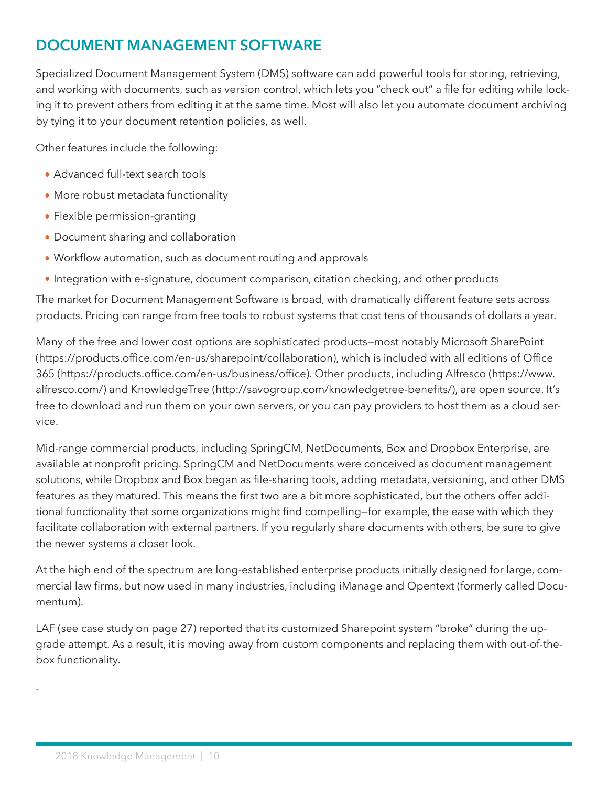## **DOCUMENT MANAGEMENT SOFTWARE**

Specialized Document Management System (DMS) software can add powerful tools for storing, retrieving, and working with documents, such as version control, which lets you "check out" a file for editing while locking it to prevent others from editing it at the same time. Most will also let you automate document archiving by tying it to your document retention policies, as well.

Other features include the following:

- **•** Advanced full-text search tools
- **•** More robust metadata functionality
- **•** Flexible permission-granting
- **•** Document sharing and collaboration
- **•** Workflow automation, such as document routing and approvals
- Integration with e-signature, document comparison, citation checking, and other products

The market for Document Management Software is broad, with dramatically different feature sets across products. Pricing can range from free tools to robust systems that cost tens of thousands of dollars a year.

Many of the free and lower cost options are sophisticated products—most notably Microsoft SharePoint (https://products.office.com/en-us/sharepoint/collaboration), which is included with all editions of Office 365 (https://products.office.com/en-us/business/office). Other products, including Alfresco (https://www. alfresco.com/) and KnowledgeTree (http://savogroup.com/knowledgetree-benefits/), are open source. It's free to download and run them on your own servers, or you can pay providers to host them as a cloud service.

Mid-range commercial products, including SpringCM, NetDocuments, Box and Dropbox Enterprise, are available at nonprofit pricing. SpringCM and NetDocuments were conceived as document management solutions, while Dropbox and Box began as file-sharing tools, adding metadata, versioning, and other DMS features as they matured. This means the first two are a bit more sophisticated, but the others offer additional functionality that some organizations might find compelling—for example, the ease with which they facilitate collaboration with external partners. If you regularly share documents with others, be sure to give the newer systems a closer look.

At the high end of the spectrum are long-established enterprise products initially designed for large, commercial law firms, but now used in many industries, including iManage and Opentext (formerly called Documentum).

LAF (see case study on page 27) reported that its customized Sharepoint system "broke" during the upgrade attempt. As a result, it is moving away from custom components and replacing them with out-of-thebox functionality.

.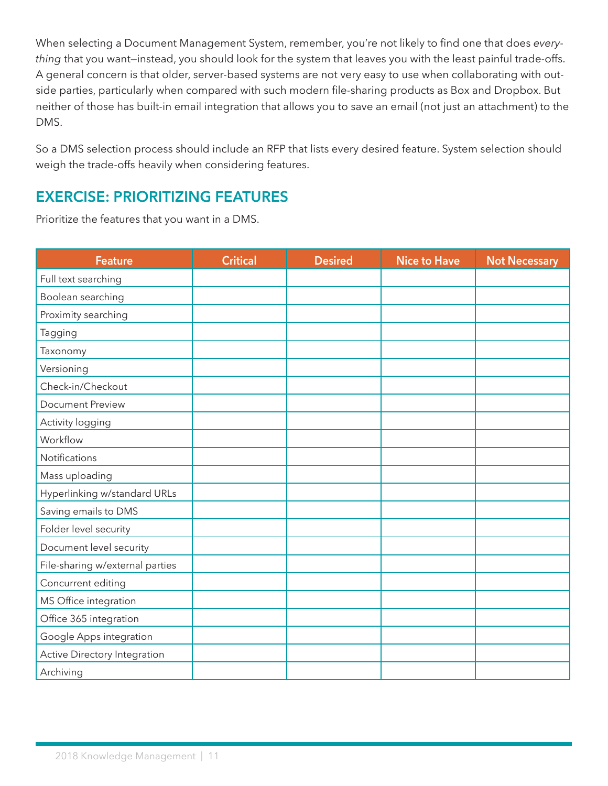<span id="page-10-0"></span>When selecting a Document Management System, remember, you're not likely to find one that does *everything* that you want—instead, you should look for the system that leaves you with the least painful trade-offs. A general concern is that older, server-based systems are not very easy to use when collaborating with outside parties, particularly when compared with such modern file-sharing products as Box and Dropbox. But neither of those has built-in email integration that allows you to save an email (not just an attachment) to the DMS.

So a DMS selection process should include an RFP that lists every desired feature. System selection should weigh the trade-offs heavily when considering features.

## **EXERCISE: PRIORITIZING FEATURES**

Prioritize the features that you want in a DMS.

| <b>Feature</b>                  | <b>Critical</b> | <b>Desired</b> | <b>Nice to Have</b> | <b>Not Necessary</b> |
|---------------------------------|-----------------|----------------|---------------------|----------------------|
| Full text searching             |                 |                |                     |                      |
| Boolean searching               |                 |                |                     |                      |
| Proximity searching             |                 |                |                     |                      |
| Tagging                         |                 |                |                     |                      |
| Taxonomy                        |                 |                |                     |                      |
| Versioning                      |                 |                |                     |                      |
| Check-in/Checkout               |                 |                |                     |                      |
| <b>Document Preview</b>         |                 |                |                     |                      |
| Activity logging                |                 |                |                     |                      |
| Workflow                        |                 |                |                     |                      |
| Notifications                   |                 |                |                     |                      |
| Mass uploading                  |                 |                |                     |                      |
| Hyperlinking w/standard URLs    |                 |                |                     |                      |
| Saving emails to DMS            |                 |                |                     |                      |
| Folder level security           |                 |                |                     |                      |
| Document level security         |                 |                |                     |                      |
| File-sharing w/external parties |                 |                |                     |                      |
| Concurrent editing              |                 |                |                     |                      |
| MS Office integration           |                 |                |                     |                      |
| Office 365 integration          |                 |                |                     |                      |
| Google Apps integration         |                 |                |                     |                      |
| Active Directory Integration    |                 |                |                     |                      |
| Archiving                       |                 |                |                     |                      |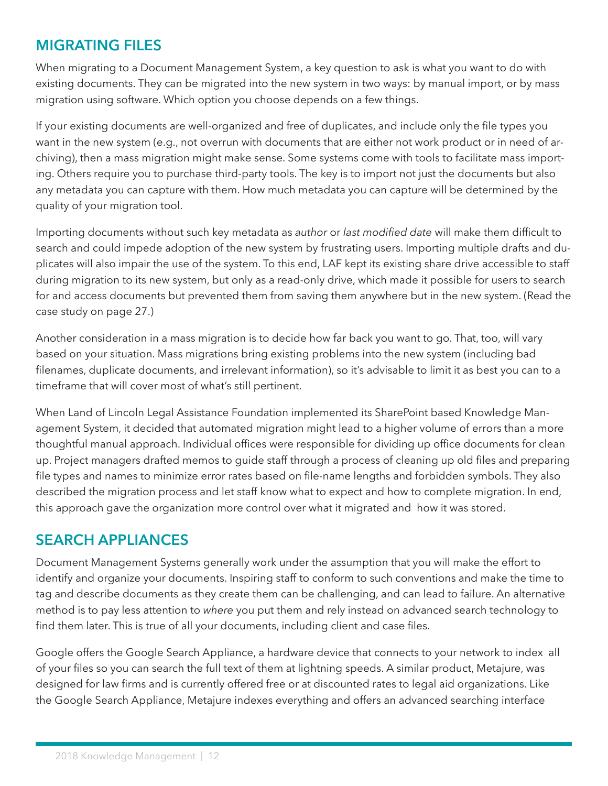## <span id="page-11-0"></span>**MIGRATING FILES**

When migrating to a Document Management System, a key question to ask is what you want to do with existing documents. They can be migrated into the new system in two ways: by manual import, or by mass migration using software. Which option you choose depends on a few things.

If your existing documents are well-organized and free of duplicates, and include only the file types you want in the new system (e.g., not overrun with documents that are either not work product or in need of archiving), then a mass migration might make sense. Some systems come with tools to facilitate mass importing. Others require you to purchase third-party tools. The key is to import not just the documents but also any metadata you can capture with them. How much metadata you can capture will be determined by the quality of your migration tool.

Importing documents without such key metadata as *author* or *last modified date* will make them difficult to search and could impede adoption of the new system by frustrating users. Importing multiple drafts and duplicates will also impair the use of the system. To this end, LAF kept its existing share drive accessible to staff during migration to its new system, but only as a read-only drive, which made it possible for users to search for and access documents but prevented them from saving them anywhere but in the new system. (Read the case study on page 27.)

Another consideration in a mass migration is to decide how far back you want to go. That, too, will vary based on your situation. Mass migrations bring existing problems into the new system (including bad filenames, duplicate documents, and irrelevant information), so it's advisable to limit it as best you can to a timeframe that will cover most of what's still pertinent.

When Land of Lincoln Legal Assistance Foundation implemented its SharePoint based Knowledge Management System, it decided that automated migration might lead to a higher volume of errors than a more thoughtful manual approach. Individual offices were responsible for dividing up office documents for clean up. Project managers drafted memos to guide staff through a process of cleaning up old files and preparing file types and names to minimize error rates based on file-name lengths and forbidden symbols. They also described the migration process and let staff know what to expect and how to complete migration. In end, this approach gave the organization more control over what it migrated and how it was stored.

### **SEARCH APPLIANCES**

Document Management Systems generally work under the assumption that you will make the effort to identify and organize your documents. Inspiring staff to conform to such conventions and make the time to tag and describe documents as they create them can be challenging, and can lead to failure. An alternative method is to pay less attention to *where* you put them and rely instead on advanced search technology to find them later. This is true of all your documents, including client and case files.

Google offers the Google Search Appliance, a hardware device that connects to your network to index all of your files so you can search the full text of them at lightning speeds. A similar product, Metajure, was designed for law firms and is currently offered free or at discounted rates to legal aid organizations. Like the Google Search Appliance, Metajure indexes everything and offers an advanced searching interface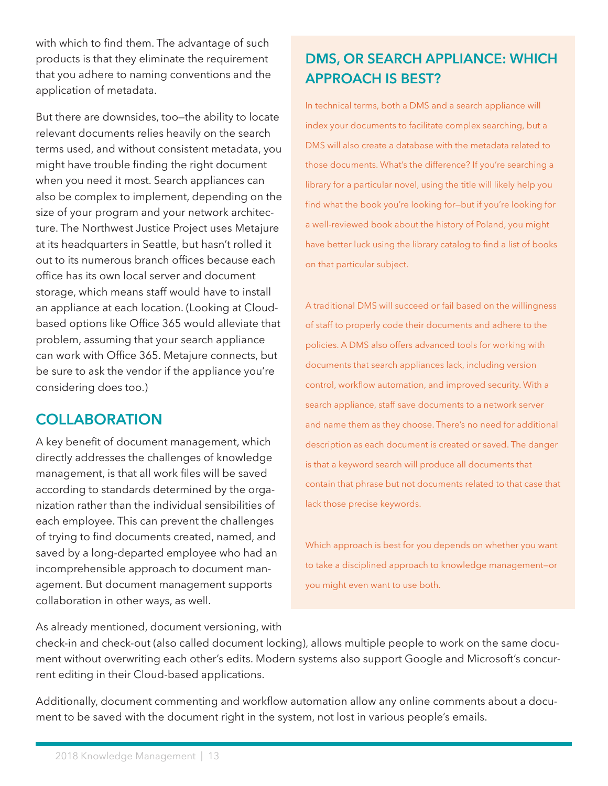<span id="page-12-0"></span>with which to find them. The advantage of such products is that they eliminate the requirement that you adhere to naming conventions and the application of metadata.

But there are downsides, too—the ability to locate relevant documents relies heavily on the search terms used, and without consistent metadata, you might have trouble finding the right document when you need it most. Search appliances can also be complex to implement, depending on the size of your program and your network architecture. The Northwest Justice Project uses Metajure at its headquarters in Seattle, but hasn't rolled it out to its numerous branch offices because each office has its own local server and document storage, which means staff would have to install an appliance at each location. (Looking at Cloudbased options like Office 365 would alleviate that problem, assuming that your search appliance can work with Office 365. Metajure connects, but be sure to ask the vendor if the appliance you're considering does too.)

### **COLLABORATION**

A key benefit of document management, which directly addresses the challenges of knowledge management, is that all work files will be saved according to standards determined by the organization rather than the individual sensibilities of each employee. This can prevent the challenges of trying to find documents created, named, and saved by a long-departed employee who had an incomprehensible approach to document management. But document management supports collaboration in other ways, as well.

## **DMS, OR SEARCH APPLIANCE: WHICH APPROACH IS BEST?**

In technical terms, both a DMS and a search appliance will index your documents to facilitate complex searching, but a DMS will also create a database with the metadata related to those documents. What's the difference? If you're searching a library for a particular novel, using the title will likely help you find what the book you're looking for—but if you're looking for a well-reviewed book about the history of Poland, you might have better luck using the library catalog to find a list of books on that particular subject.

A traditional DMS will succeed or fail based on the willingness of staff to properly code their documents and adhere to the policies. A DMS also offers advanced tools for working with documents that search appliances lack, including version control, workflow automation, and improved security. With a search appliance, staff save documents to a network server and name them as they choose. There's no need for additional description as each document is created or saved. The danger is that a keyword search will produce all documents that contain that phrase but not documents related to that case that lack those precise keywords.

Which approach is best for you depends on whether you want to take a disciplined approach to knowledge management—or you might even want to use both.

As already mentioned, document versioning, with

check-in and check-out (also called document locking), allows multiple people to work on the same document without overwriting each other's edits. Modern systems also support Google and Microsoft's concurrent editing in their Cloud-based applications.

Additionally, document commenting and workflow automation allow any online comments about a document to be saved with the document right in the system, not lost in various people's emails.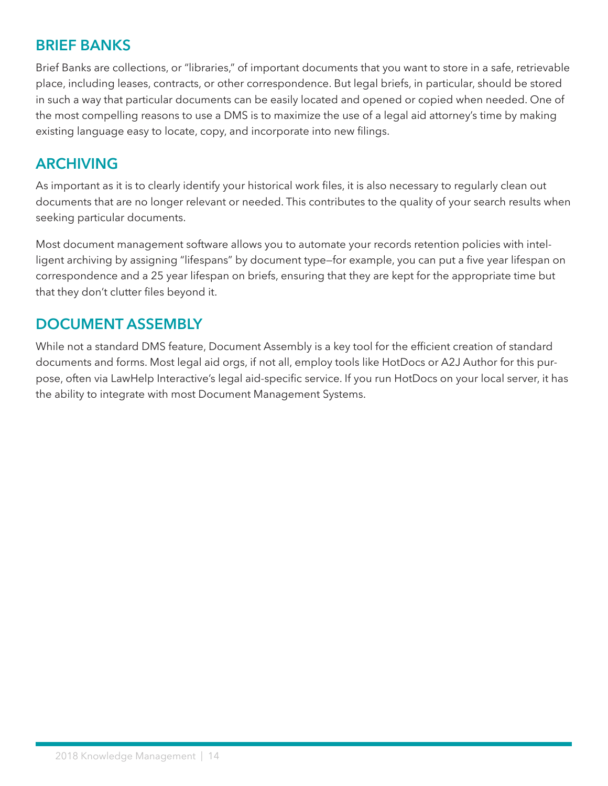### <span id="page-13-0"></span>**BRIEF BANKS**

Brief Banks are collections, or "libraries," of important documents that you want to store in a safe, retrievable place, including leases, contracts, or other correspondence. But legal briefs, in particular, should be stored in such a way that particular documents can be easily located and opened or copied when needed. One of the most compelling reasons to use a DMS is to maximize the use of a legal aid attorney's time by making existing language easy to locate, copy, and incorporate into new filings.

#### **ARCHIVING**

As important as it is to clearly identify your historical work files, it is also necessary to regularly clean out documents that are no longer relevant or needed. This contributes to the quality of your search results when seeking particular documents.

Most document management software allows you to automate your records retention policies with intelligent archiving by assigning "lifespans" by document type—for example, you can put a five year lifespan on correspondence and a 25 year lifespan on briefs, ensuring that they are kept for the appropriate time but that they don't clutter files beyond it.

### **DOCUMENT ASSEMBLY**

While not a standard DMS feature, Document Assembly is a key tool for the efficient creation of standard documents and forms. Most legal aid orgs, if not all, employ tools like HotDocs or A2J Author for this purpose, often via LawHelp Interactive's legal aid-specific service. If you run HotDocs on your local server, it has the ability to integrate with most Document Management Systems.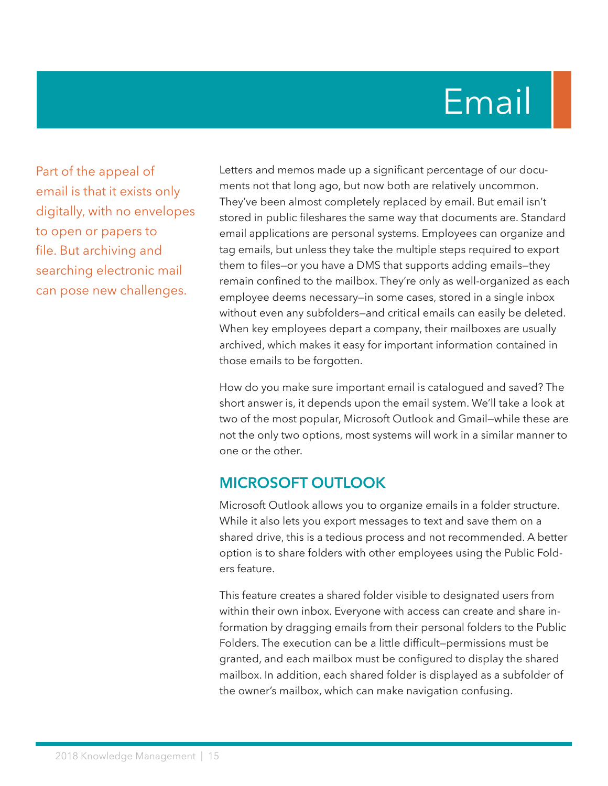# Email

<span id="page-14-0"></span>Part of the appeal of email is that it exists only digitally, with no envelopes to open or papers to file. But archiving and searching electronic mail can pose new challenges.

Letters and memos made up a significant percentage of our documents not that long ago, but now both are relatively uncommon. They've been almost completely replaced by email. But email isn't stored in public fileshares the same way that documents are. Standard email applications are personal systems. Employees can organize and tag emails, but unless they take the multiple steps required to export them to files—or you have a DMS that supports adding emails—they remain confined to the mailbox. They're only as well-organized as each employee deems necessary—in some cases, stored in a single inbox without even any subfolders—and critical emails can easily be deleted. When key employees depart a company, their mailboxes are usually archived, which makes it easy for important information contained in those emails to be forgotten.

How do you make sure important email is catalogued and saved? The short answer is, it depends upon the email system. We'll take a look at two of the most popular, Microsoft Outlook and Gmail—while these are not the only two options, most systems will work in a similar manner to one or the other.

#### **MICROSOFT OUTLOOK**

Microsoft Outlook allows you to organize emails in a folder structure. While it also lets you export messages to text and save them on a shared drive, this is a tedious process and not recommended. A better option is to share folders with other employees using the Public Folders feature.

This feature creates a shared folder visible to designated users from within their own inbox. Everyone with access can create and share information by dragging emails from their personal folders to the Public Folders. The execution can be a little difficult—permissions must be granted, and each mailbox must be configured to display the shared mailbox. In addition, each shared folder is displayed as a subfolder of the owner's mailbox, which can make navigation confusing.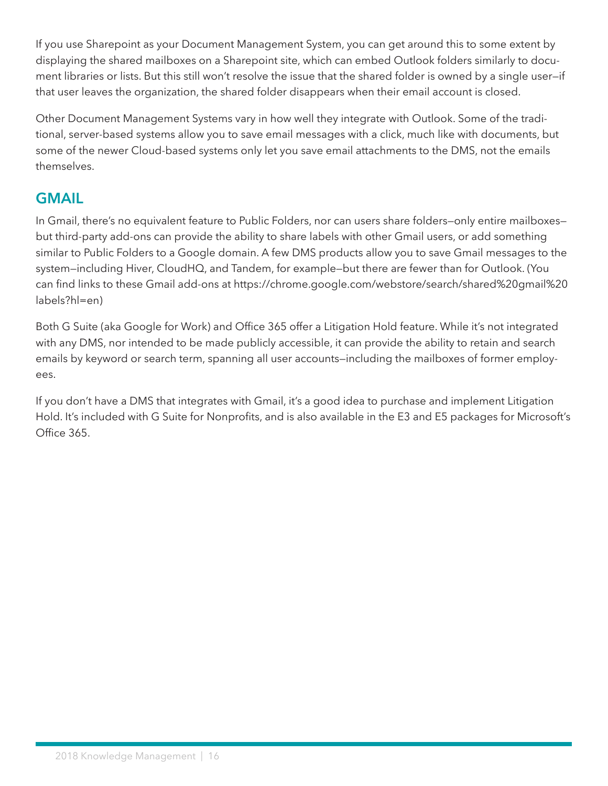<span id="page-15-0"></span>If you use Sharepoint as your Document Management System, you can get around this to some extent by displaying the shared mailboxes on a Sharepoint site, which can embed Outlook folders similarly to document libraries or lists. But this still won't resolve the issue that the shared folder is owned by a single user—if that user leaves the organization, the shared folder disappears when their email account is closed.

Other Document Management Systems vary in how well they integrate with Outlook. Some of the traditional, server-based systems allow you to save email messages with a click, much like with documents, but some of the newer Cloud-based systems only let you save email attachments to the DMS, not the emails themselves.

### **GMAIL**

In Gmail, there's no equivalent feature to Public Folders, nor can users share folders—only entire mailboxes but third-party add-ons can provide the ability to share labels with other Gmail users, or add something similar to Public Folders to a Google domain. A few DMS products allow you to save Gmail messages to the system—including Hiver, CloudHQ, and Tandem, for example—but there are fewer than for Outlook. (You can find links to these Gmail add-ons at https://chrome.google.com/webstore/search/shared%20gmail%20 labels?hl=en)

Both G Suite (aka Google for Work) and Office 365 offer a Litigation Hold feature. While it's not integrated with any DMS, nor intended to be made publicly accessible, it can provide the ability to retain and search emails by keyword or search term, spanning all user accounts—including the mailboxes of former employees.

If you don't have a DMS that integrates with Gmail, it's a good idea to purchase and implement Litigation Hold. It's included with G Suite for Nonprofits, and is also available in the E3 and E5 packages for Microsoft's Office 365.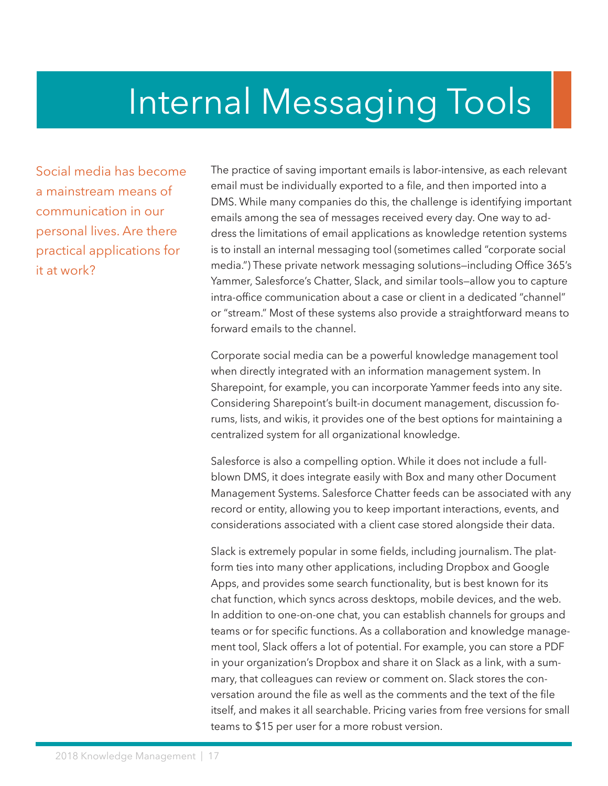## <span id="page-16-0"></span>Internal Messaging Tools

Social media has become a mainstream means of communication in our personal lives. Are there practical applications for it at work?

The practice of saving important emails is labor-intensive, as each relevant email must be individually exported to a file, and then imported into a DMS. While many companies do this, the challenge is identifying important emails among the sea of messages received every day. One way to address the limitations of email applications as knowledge retention systems is to install an internal messaging tool (sometimes called "corporate social media.") These private network messaging solutions—including Office 365's Yammer, Salesforce's Chatter, Slack, and similar tools—allow you to capture intra-office communication about a case or client in a dedicated "channel" or "stream." Most of these systems also provide a straightforward means to forward emails to the channel.

Corporate social media can be a powerful knowledge management tool when directly integrated with an information management system. In Sharepoint, for example, you can incorporate Yammer feeds into any site. Considering Sharepoint's built-in document management, discussion forums, lists, and wikis, it provides one of the best options for maintaining a centralized system for all organizational knowledge.

Salesforce is also a compelling option. While it does not include a fullblown DMS, it does integrate easily with Box and many other Document Management Systems. Salesforce Chatter feeds can be associated with any record or entity, allowing you to keep important interactions, events, and considerations associated with a client case stored alongside their data.

Slack is extremely popular in some fields, including journalism. The platform ties into many other applications, including Dropbox and Google Apps, and provides some search functionality, but is best known for its chat function, which syncs across desktops, mobile devices, and the web. In addition to one-on-one chat, you can establish channels for groups and teams or for specific functions. As a collaboration and knowledge management tool, Slack offers a lot of potential. For example, you can store a PDF in your organization's Dropbox and share it on Slack as a link, with a summary, that colleagues can review or comment on. Slack stores the conversation around the file as well as the comments and the text of the file itself, and makes it all searchable. Pricing varies from free versions for small teams to \$15 per user for a more robust version.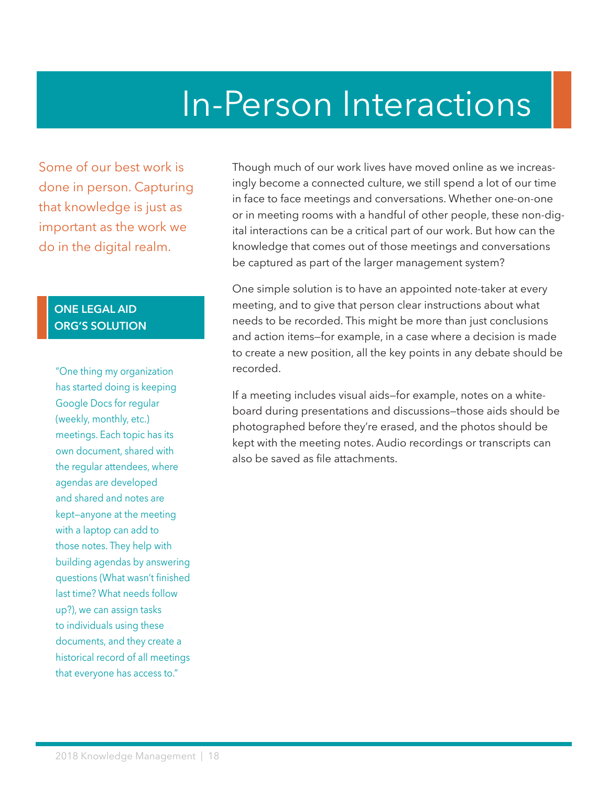## In-Person Interactions

<span id="page-17-0"></span>Some of our best work is done in person. Capturing that knowledge is just as important as the work we do in the digital realm.

#### **ONE LEGAL AID ORG'S SOLUTION**

"One thing my organization has started doing is keeping Google Docs for regular (weekly, monthly, etc.) meetings. Each topic has its own document, shared with the regular attendees, where agendas are developed and shared and notes are kept—anyone at the meeting with a laptop can add to those notes. They help with building agendas by answering questions (What wasn't finished last time? What needs follow up?), we can assign tasks to individuals using these documents, and they create a historical record of all meetings that everyone has access to."

Though much of our work lives have moved online as we increasingly become a connected culture, we still spend a lot of our time in face to face meetings and conversations. Whether one-on-one or in meeting rooms with a handful of other people, these non-digital interactions can be a critical part of our work. But how can the knowledge that comes out of those meetings and conversations be captured as part of the larger management system?

One simple solution is to have an appointed note-taker at every meeting, and to give that person clear instructions about what needs to be recorded. This might be more than just conclusions and action items—for example, in a case where a decision is made to create a new position, all the key points in any debate should be recorded.

If a meeting includes visual aids—for example, notes on a whiteboard during presentations and discussions—those aids should be photographed before they're erased, and the photos should be kept with the meeting notes. Audio recordings or transcripts can also be saved as file attachments.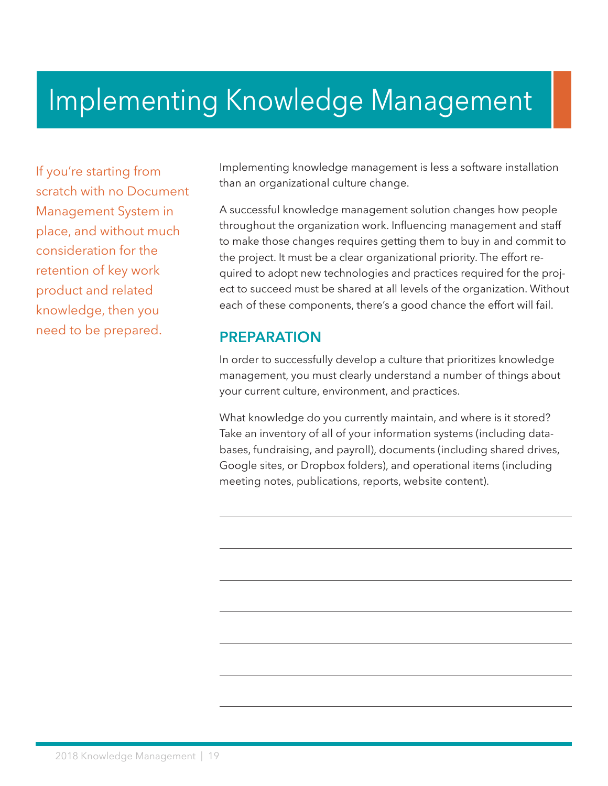## <span id="page-18-0"></span>Implementing Knowledge Management

If you're starting from scratch with no Document Management System in place, and without much consideration for the retention of key work product and related knowledge, then you need to be prepared.

Implementing knowledge management is less a software installation than an organizational culture change.

A successful knowledge management solution changes how people throughout the organization work. Influencing management and staff to make those changes requires getting them to buy in and commit to the project. It must be a clear organizational priority. The effort required to adopt new technologies and practices required for the project to succeed must be shared at all levels of the organization. Without each of these components, there's a good chance the effort will fail.

#### **PREPARATION**

In order to successfully develop a culture that prioritizes knowledge management, you must clearly understand a number of things about your current culture, environment, and practices.

What knowledge do you currently maintain, and where is it stored? Take an inventory of all of your information systems (including databases, fundraising, and payroll), documents (including shared drives, Google sites, or Dropbox folders), and operational items (including meeting notes, publications, reports, website content).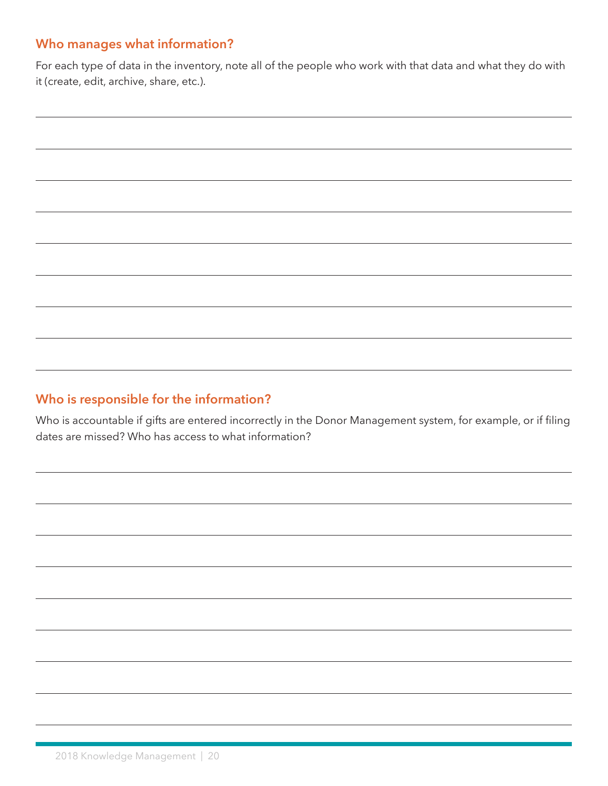#### **Who manages what information?**

For each type of data in the inventory, note all of the people who work with that data and what they do with it (create, edit, archive, share, etc.).

#### **Who is responsible for the information?**

Who is accountable if gifts are entered incorrectly in the Donor Management system, for example, or if filing dates are missed? Who has access to what information?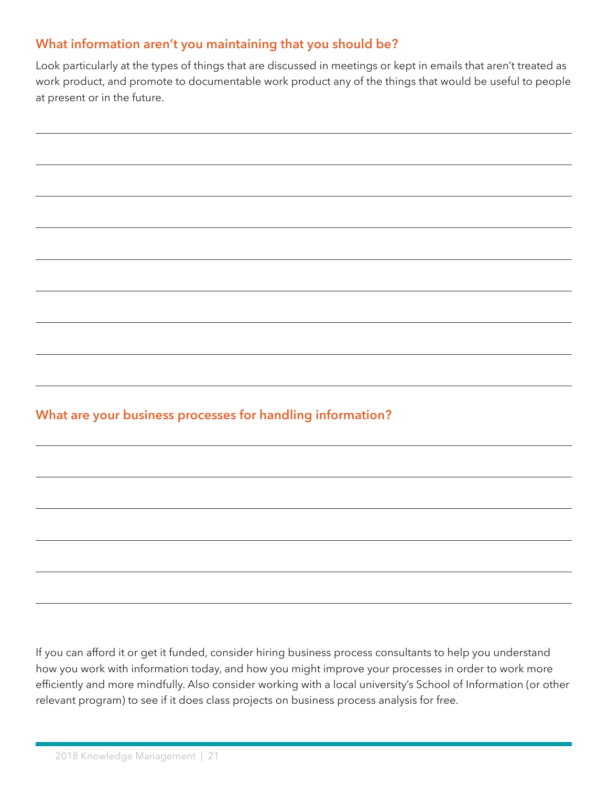#### <span id="page-20-0"></span>**What information aren't you maintaining that you should be?**

Look particularly at the types of things that are discussed in meetings or kept in emails that aren't treated as work product, and promote to documentable work product any of the things that would be useful to people at present or in the future.

#### **What are your business processes for handling information?**

If you can afford it or get it funded, consider hiring business process consultants to help you understand how you work with information today, and how you might improve your processes in order to work more efficiently and more mindfully. Also consider working with a local university's School of Information (or other relevant program) to see if it does class projects on business process analysis for free.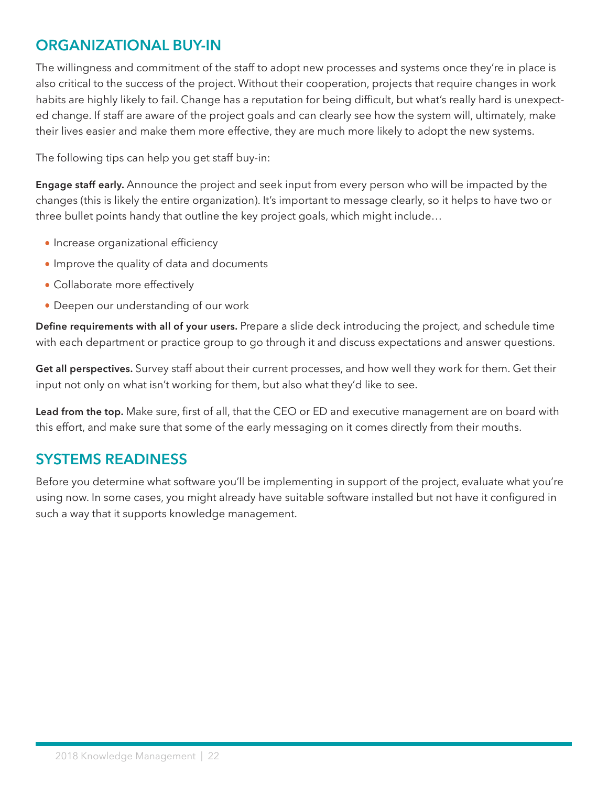## <span id="page-21-0"></span>**ORGANIZATIONAL BUY-IN**

The willingness and commitment of the staff to adopt new processes and systems once they're in place is also critical to the success of the project. Without their cooperation, projects that require changes in work habits are highly likely to fail. Change has a reputation for being difficult, but what's really hard is unexpected change. If staff are aware of the project goals and can clearly see how the system will, ultimately, make their lives easier and make them more effective, they are much more likely to adopt the new systems.

The following tips can help you get staff buy-in:

**Engage staff early.** Announce the project and seek input from every person who will be impacted by the changes (this is likely the entire organization). It's important to message clearly, so it helps to have two or three bullet points handy that outline the key project goals, which might include…

- **•** Increase organizational efficiency
- **•** Improve the quality of data and documents
- **•** Collaborate more effectively
- **•** Deepen our understanding of our work

**Define requirements with all of your users.** Prepare a slide deck introducing the project, and schedule time with each department or practice group to go through it and discuss expectations and answer questions.

**Get all perspectives.** Survey staff about their current processes, and how well they work for them. Get their input not only on what isn't working for them, but also what they'd like to see.

**Lead from the top.** Make sure, first of all, that the CEO or ED and executive management are on board with this effort, and make sure that some of the early messaging on it comes directly from their mouths.

### **SYSTEMS READINESS**

Before you determine what software you'll be implementing in support of the project, evaluate what you're using now. In some cases, you might already have suitable software installed but not have it configured in such a way that it supports knowledge management.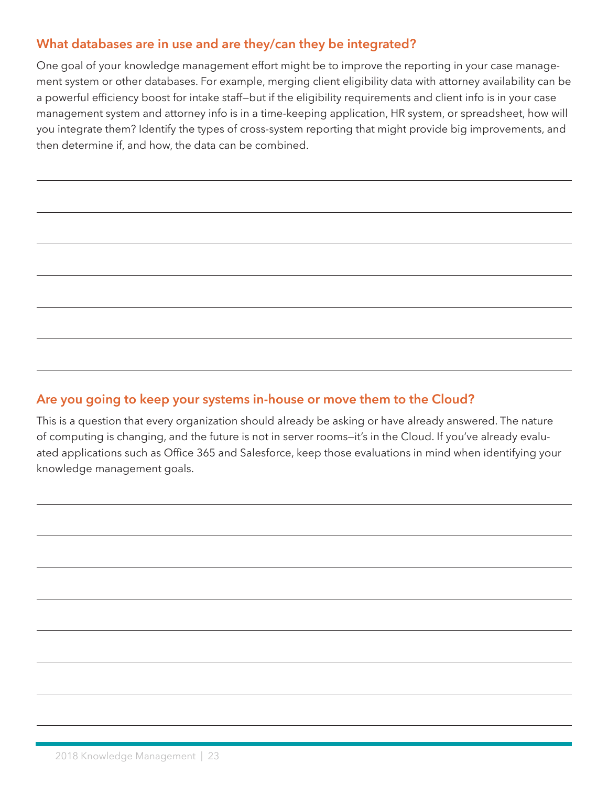#### <span id="page-22-0"></span>**What databases are in use and are they/can they be integrated?**

One goal of your knowledge management effort might be to improve the reporting in your case management system or other databases. For example, merging client eligibility data with attorney availability can be a powerful efficiency boost for intake staff—but if the eligibility requirements and client info is in your case management system and attorney info is in a time-keeping application, HR system, or spreadsheet, how will you integrate them? Identify the types of cross-system reporting that might provide big improvements, and then determine if, and how, the data can be combined.

### **Are you going to keep your systems in-house or move them to the Cloud?**

This is a question that every organization should already be asking or have already answered. The nature of computing is changing, and the future is not in server rooms—it's in the Cloud. If you've already evaluated applications such as Office 365 and Salesforce, keep those evaluations in mind when identifying your knowledge management goals.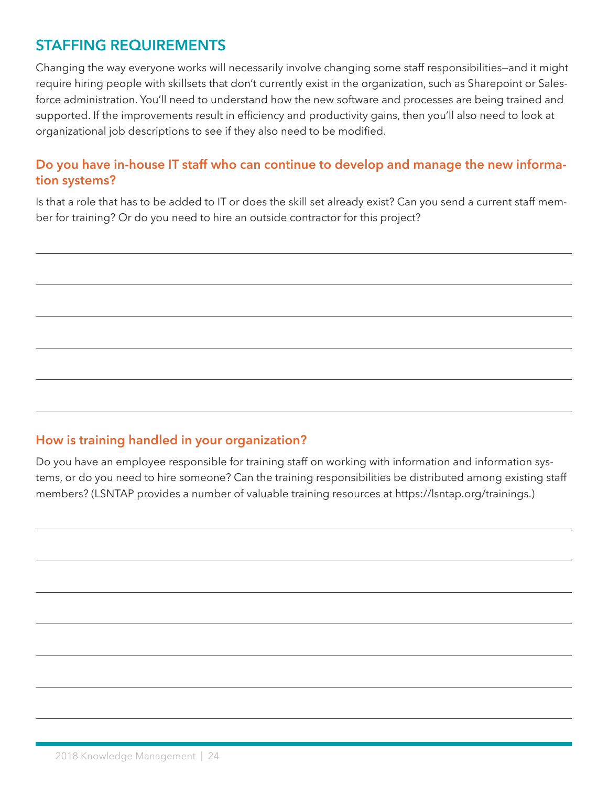### <span id="page-23-0"></span>**STAFFING REQUIREMENTS**

Changing the way everyone works will necessarily involve changing some staff responsibilities—and it might require hiring people with skillsets that don't currently exist in the organization, such as Sharepoint or Salesforce administration. You'll need to understand how the new software and processes are being trained and supported. If the improvements result in efficiency and productivity gains, then you'll also need to look at organizational job descriptions to see if they also need to be modified.

#### **Do you have in-house IT staff who can continue to develop and manage the new information systems?**

Is that a role that has to be added to IT or does the skill set already exist? Can you send a current staff member for training? Or do you need to hire an outside contractor for this project?

#### **How is training handled in your organization?**

Do you have an employee responsible for training staff on working with information and information systems, or do you need to hire someone? Can the training responsibilities be distributed among existing staff members? (LSNTAP provides a number of valuable training resources at https://lsntap.org/trainings.)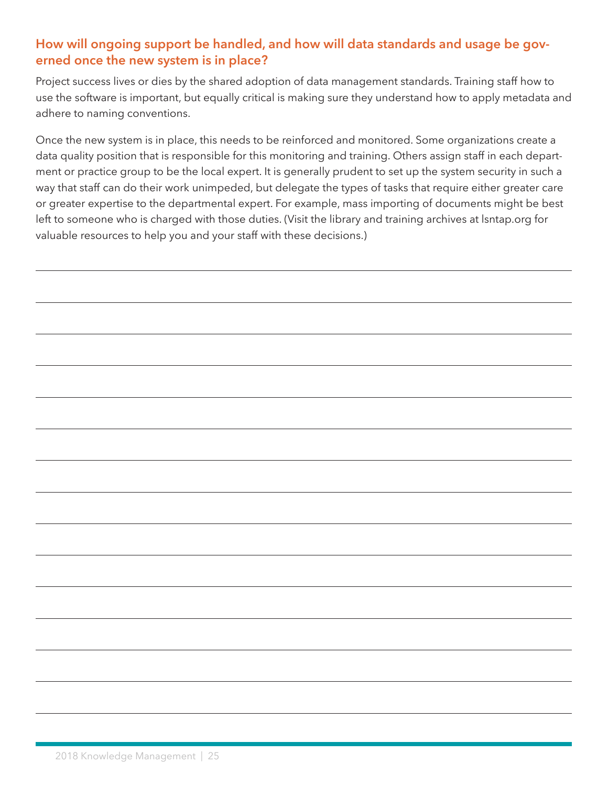#### **How will ongoing support be handled, and how will data standards and usage be governed once the new system is in place?**

Project success lives or dies by the shared adoption of data management standards. Training staff how to use the software is important, but equally critical is making sure they understand how to apply metadata and adhere to naming conventions.

Once the new system is in place, this needs to be reinforced and monitored. Some organizations create a data quality position that is responsible for this monitoring and training. Others assign staff in each department or practice group to be the local expert. It is generally prudent to set up the system security in such a way that staff can do their work unimpeded, but delegate the types of tasks that require either greater care or greater expertise to the departmental expert. For example, mass importing of documents might be best left to someone who is charged with those duties. (Visit the library and training archives at lsntap.org for valuable resources to help you and your staff with these decisions.)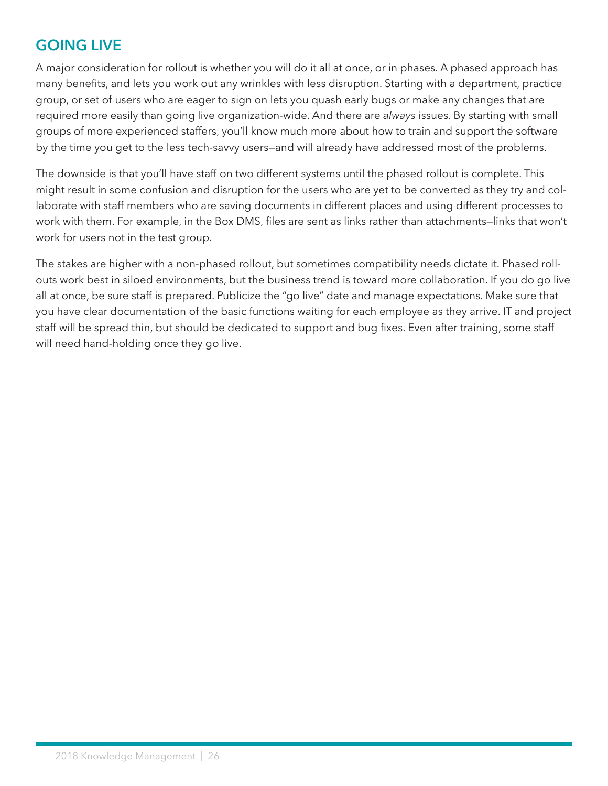## **GOING LIVE**

A major consideration for rollout is whether you will do it all at once, or in phases. A phased approach has many benefits, and lets you work out any wrinkles with less disruption. Starting with a department, practice group, or set of users who are eager to sign on lets you quash early bugs or make any changes that are required more easily than going live organization-wide. And there are *always* issues. By starting with small groups of more experienced staffers, you'll know much more about how to train and support the software by the time you get to the less tech-savvy users—and will already have addressed most of the problems.

The downside is that you'll have staff on two different systems until the phased rollout is complete. This might result in some confusion and disruption for the users who are yet to be converted as they try and collaborate with staff members who are saving documents in different places and using different processes to work with them. For example, in the Box DMS, files are sent as links rather than attachments—links that won't work for users not in the test group.

The stakes are higher with a non-phased rollout, but sometimes compatibility needs dictate it. Phased rollouts work best in siloed environments, but the business trend is toward more collaboration. If you do go live all at once, be sure staff is prepared. Publicize the "go live" date and manage expectations. Make sure that you have clear documentation of the basic functions waiting for each employee as they arrive. IT and project staff will be spread thin, but should be dedicated to support and bug fixes. Even after training, some staff will need hand-holding once they go live.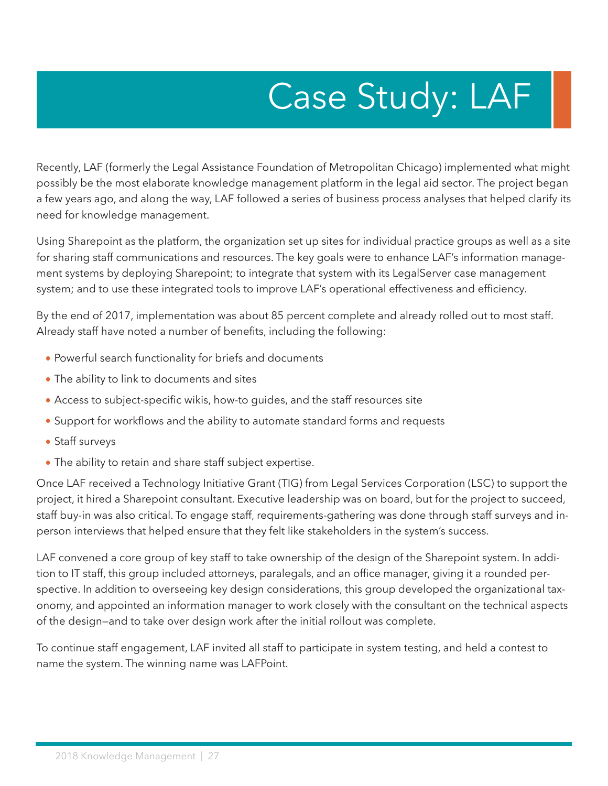# Case Study: LAF

<span id="page-26-0"></span>Recently, LAF (formerly the Legal Assistance Foundation of Metropolitan Chicago) implemented what might possibly be the most elaborate knowledge management platform in the legal aid sector. The project began a few years ago, and along the way, LAF followed a series of business process analyses that helped clarify its need for knowledge management.

Using Sharepoint as the platform, the organization set up sites for individual practice groups as well as a site for sharing staff communications and resources. The key goals were to enhance LAF's information management systems by deploying Sharepoint; to integrate that system with its LegalServer case management system; and to use these integrated tools to improve LAF's operational effectiveness and efficiency.

By the end of 2017, implementation was about 85 percent complete and already rolled out to most staff. Already staff have noted a number of benefits, including the following:

- **•** Powerful search functionality for briefs and documents
- **•** The ability to link to documents and sites
- **•** Access to subject-specific wikis, how-to guides, and the staff resources site
- **•** Support for workflows and the ability to automate standard forms and requests
- **•** Staff surveys
- **•** The ability to retain and share staff subject expertise.

Once LAF received a Technology Initiative Grant (TIG) from Legal Services Corporation (LSC) to support the project, it hired a Sharepoint consultant. Executive leadership was on board, but for the project to succeed, staff buy-in was also critical. To engage staff, requirements-gathering was done through staff surveys and inperson interviews that helped ensure that they felt like stakeholders in the system's success.

LAF convened a core group of key staff to take ownership of the design of the Sharepoint system. In addition to IT staff, this group included attorneys, paralegals, and an office manager, giving it a rounded perspective. In addition to overseeing key design considerations, this group developed the organizational taxonomy, and appointed an information manager to work closely with the consultant on the technical aspects of the design—and to take over design work after the initial rollout was complete.

To continue staff engagement, LAF invited all staff to participate in system testing, and held a contest to name the system. The winning name was LAFPoint.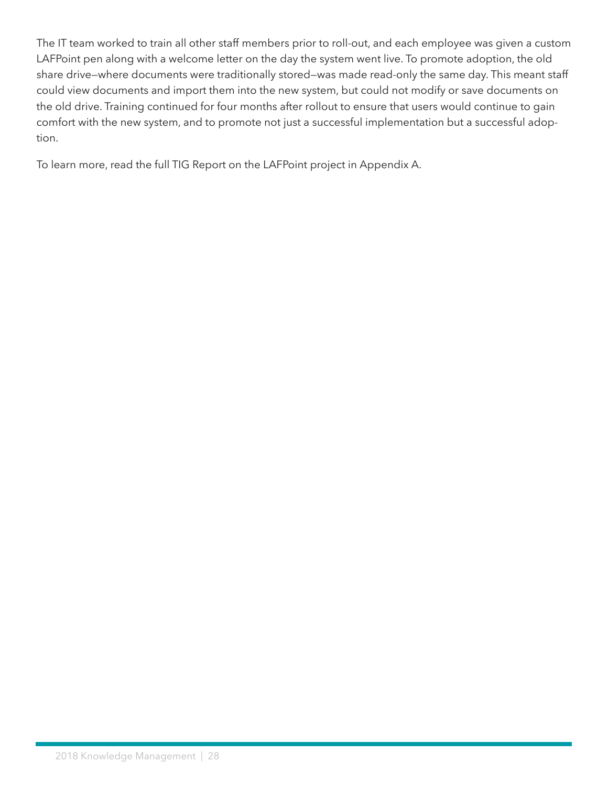The IT team worked to train all other staff members prior to roll-out, and each employee was given a custom LAFPoint pen along with a welcome letter on the day the system went live. To promote adoption, the old share drive—where documents were traditionally stored—was made read-only the same day. This meant staff could view documents and import them into the new system, but could not modify or save documents on the old drive. Training continued for four months after rollout to ensure that users would continue to gain comfort with the new system, and to promote not just a successful implementation but a successful adoption.

To learn more, read the full TIG Report on the LAFPoint project in Appendix A.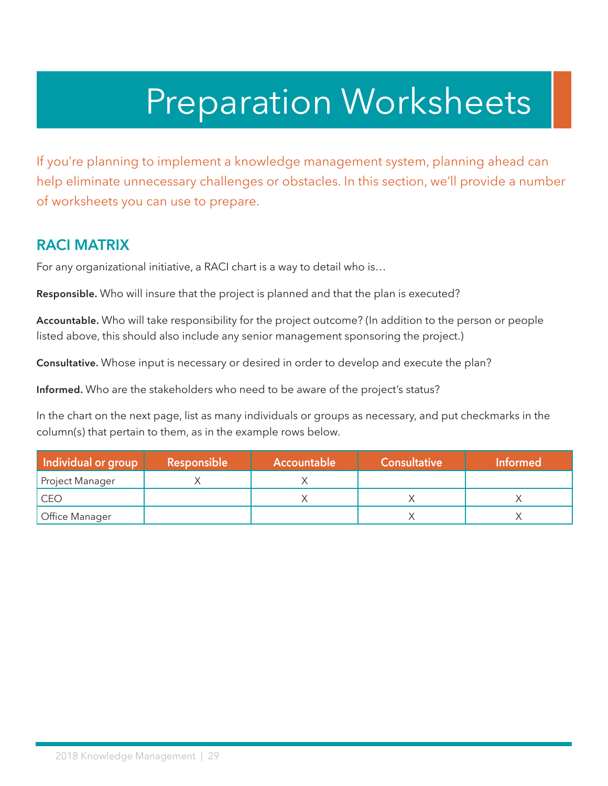## Preparation Worksheets

<span id="page-28-0"></span>If you're planning to implement a knowledge management system, planning ahead can help eliminate unnecessary challenges or obstacles. In this section, we'll provide a number of worksheets you can use to prepare.

#### **RACI MATRIX**

For any organizational initiative, a RACI chart is a way to detail who is…

**Responsible.** Who will insure that the project is planned and that the plan is executed?

**Accountable.** Who will take responsibility for the project outcome? (In addition to the person or people listed above, this should also include any senior management sponsoring the project.)

**Consultative.** Whose input is necessary or desired in order to develop and execute the plan?

**Informed.** Who are the stakeholders who need to be aware of the project's status?

In the chart on the next page, list as many individuals or groups as necessary, and put checkmarks in the column(s) that pertain to them, as in the example rows below.

| Individual or group | Responsible | <b>Accountable</b> | Consultative | <b>Informed</b> |
|---------------------|-------------|--------------------|--------------|-----------------|
| Project Manager     |             |                    |              |                 |
| CEO                 |             |                    |              |                 |
| Office Manager      |             |                    |              |                 |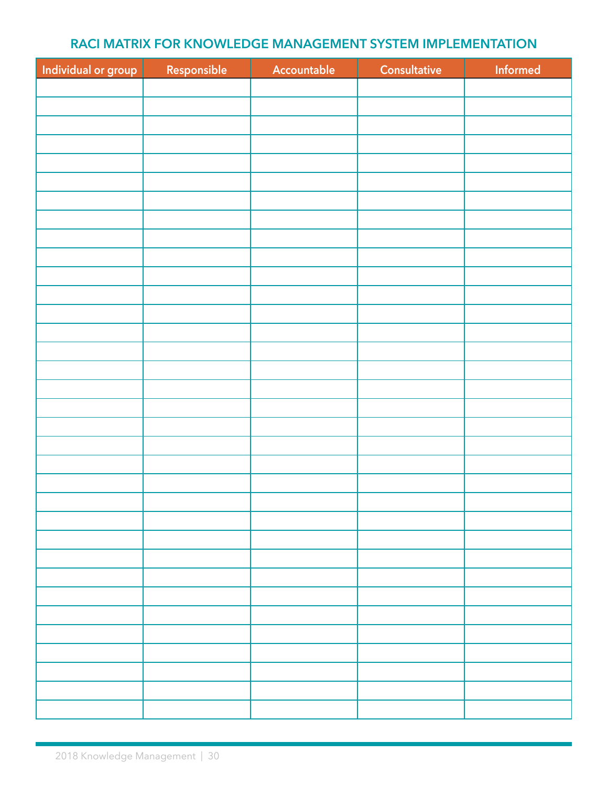#### **RACI MATRIX FOR KNOWLEDGE MANAGEMENT SYSTEM IMPLEMENTATION**

<span id="page-29-0"></span>

| Individual or group | Responsible | Accountable | Consultative | Informed |
|---------------------|-------------|-------------|--------------|----------|
|                     |             |             |              |          |
|                     |             |             |              |          |
|                     |             |             |              |          |
|                     |             |             |              |          |
|                     |             |             |              |          |
|                     |             |             |              |          |
|                     |             |             |              |          |
|                     |             |             |              |          |
|                     |             |             |              |          |
|                     |             |             |              |          |
|                     |             |             |              |          |
|                     |             |             |              |          |
|                     |             |             |              |          |
|                     |             |             |              |          |
|                     |             |             |              |          |
|                     |             |             |              |          |
|                     |             |             |              |          |
|                     |             |             |              |          |
|                     |             |             |              |          |
|                     |             |             |              |          |
|                     |             |             |              |          |
|                     |             |             |              |          |
|                     |             |             |              |          |
|                     |             |             |              |          |
|                     |             |             |              |          |
|                     |             |             |              |          |
|                     |             |             |              |          |
|                     |             |             |              |          |
|                     |             |             |              |          |
|                     |             |             |              |          |
|                     |             |             |              |          |
|                     |             |             |              |          |
|                     |             |             |              |          |
|                     |             |             |              |          |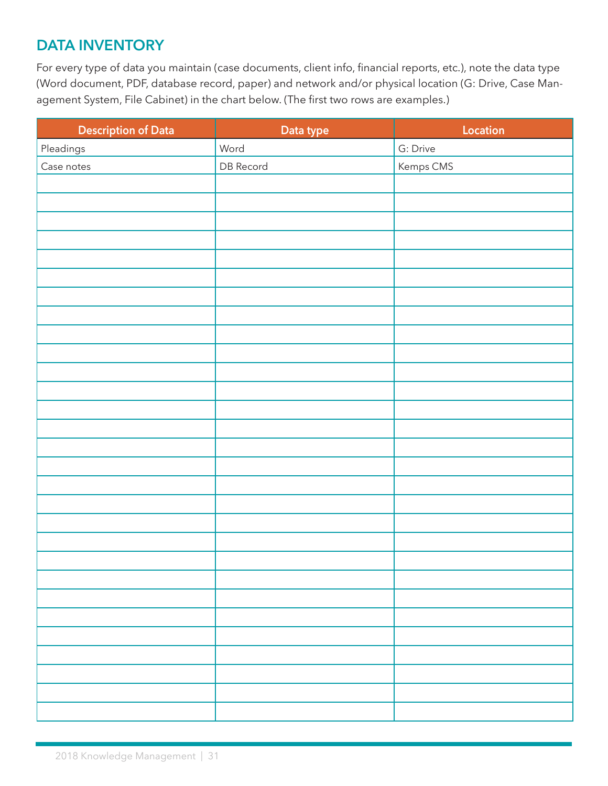## <span id="page-30-0"></span>**DATA INVENTORY**

For every type of data you maintain (case documents, client info, financial reports, etc.), note the data type (Word document, PDF, database record, paper) and network and/or physical location (G: Drive, Case Management System, File Cabinet) in the chart below. (The first two rows are examples.)

| <b>Description of Data</b> | Data type | Location  |
|----------------------------|-----------|-----------|
| Pleadings                  | Word      | G: Drive  |
| Case notes                 | DB Record | Kemps CMS |
|                            |           |           |
|                            |           |           |
|                            |           |           |
|                            |           |           |
|                            |           |           |
|                            |           |           |
|                            |           |           |
|                            |           |           |
|                            |           |           |
|                            |           |           |
|                            |           |           |
|                            |           |           |
|                            |           |           |
|                            |           |           |
|                            |           |           |
|                            |           |           |
|                            |           |           |
|                            |           |           |
|                            |           |           |
|                            |           |           |
|                            |           |           |
|                            |           |           |
|                            |           |           |
|                            |           |           |
|                            |           |           |
|                            |           |           |
|                            |           |           |
|                            |           |           |
|                            |           |           |
|                            |           |           |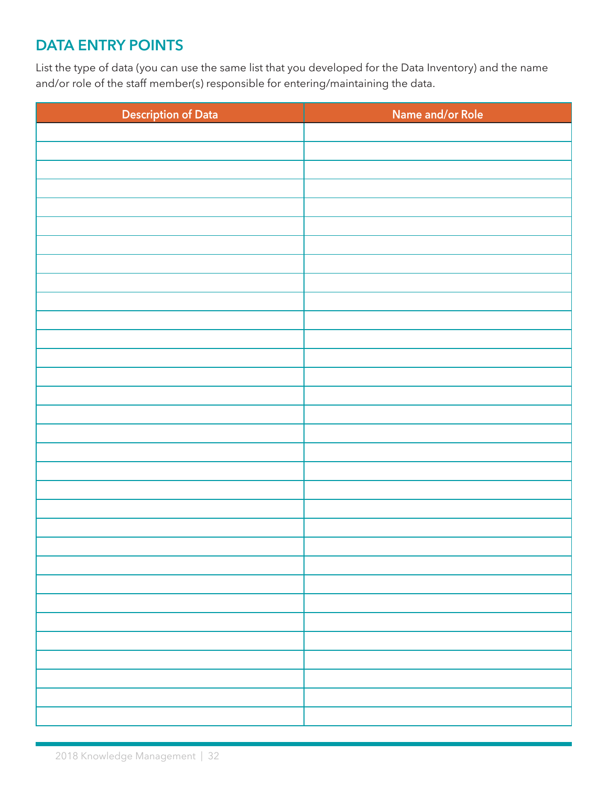## **DATA ENTRY POINTS**

List the type of data (you can use the same list that you developed for the Data Inventory) and the name and/or role of the staff member(s) responsible for entering/maintaining the data.

| <b>Description of Data</b> | Name and/or Role |
|----------------------------|------------------|
|                            |                  |
|                            |                  |
|                            |                  |
|                            |                  |
|                            |                  |
|                            |                  |
|                            |                  |
|                            |                  |
|                            |                  |
|                            |                  |
|                            |                  |
|                            |                  |
|                            |                  |
|                            |                  |
|                            |                  |
|                            |                  |
|                            |                  |
|                            |                  |
|                            |                  |
|                            |                  |
|                            |                  |
|                            |                  |
|                            |                  |
|                            |                  |
|                            |                  |
|                            |                  |
|                            |                  |
|                            |                  |
|                            |                  |
|                            |                  |
|                            |                  |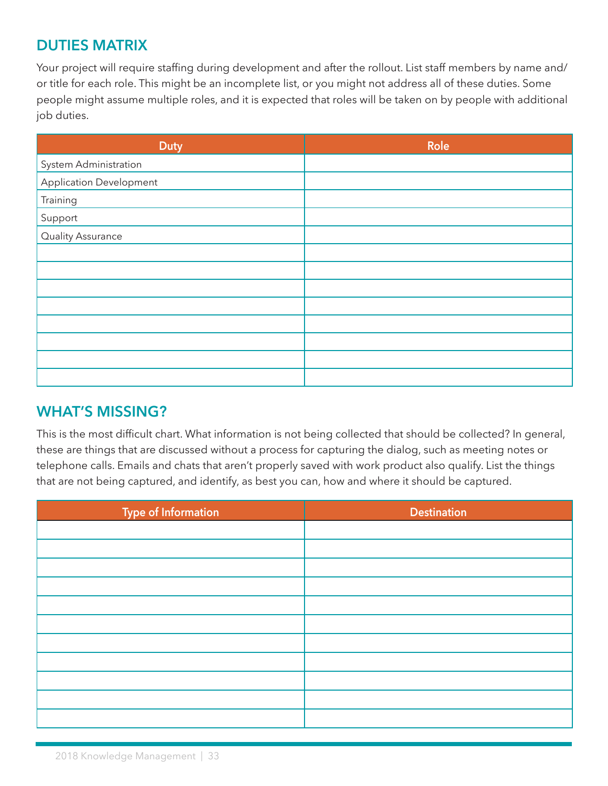### <span id="page-32-0"></span>**DUTIES MATRIX**

Your project will require staffing during development and after the rollout. List staff members by name and/ or title for each role. This might be an incomplete list, or you might not address all of these duties. Some people might assume multiple roles, and it is expected that roles will be taken on by people with additional job duties.

| <b>Duty</b>             | Role |
|-------------------------|------|
| System Administration   |      |
| Application Development |      |
| Training                |      |
| Support                 |      |
| Quality Assurance       |      |
|                         |      |
|                         |      |
|                         |      |
|                         |      |
|                         |      |
|                         |      |
|                         |      |
|                         |      |

#### **WHAT'S MISSING?**

This is the most difficult chart. What information is not being collected that should be collected? In general, these are things that are discussed without a process for capturing the dialog, such as meeting notes or telephone calls. Emails and chats that aren't properly saved with work product also qualify. List the things that are not being captured, and identify, as best you can, how and where it should be captured.

| Type of Information | <b>Destination</b> |
|---------------------|--------------------|
|                     |                    |
|                     |                    |
|                     |                    |
|                     |                    |
|                     |                    |
|                     |                    |
|                     |                    |
|                     |                    |
|                     |                    |
|                     |                    |
|                     |                    |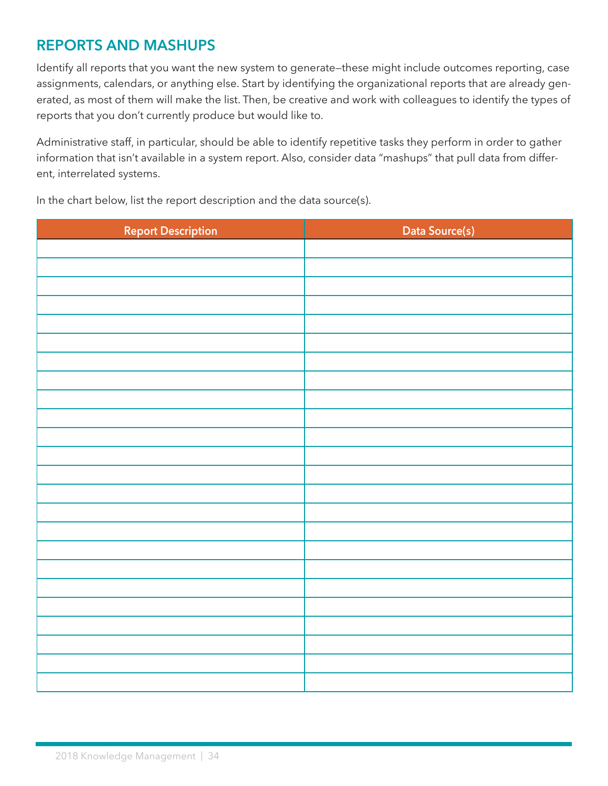## <span id="page-33-0"></span>**REPORTS AND MASHUPS**

Identify all reports that you want the new system to generate—these might include outcomes reporting, case assignments, calendars, or anything else. Start by identifying the organizational reports that are already generated, as most of them will make the list. Then, be creative and work with colleagues to identify the types of reports that you don't currently produce but would like to.

Administrative staff, in particular, should be able to identify repetitive tasks they perform in order to gather information that isn't available in a system report. Also, consider data "mashups" that pull data from different, interrelated systems.

In the chart below, list the report description and the data source(s).

| <b>Report Description</b> | Data Source(s) |
|---------------------------|----------------|
|                           |                |
|                           |                |
|                           |                |
|                           |                |
|                           |                |
|                           |                |
|                           |                |
|                           |                |
|                           |                |
|                           |                |
|                           |                |
|                           |                |
|                           |                |
|                           |                |
|                           |                |
|                           |                |
|                           |                |
|                           |                |
|                           |                |
|                           |                |
|                           |                |
|                           |                |
|                           |                |
|                           |                |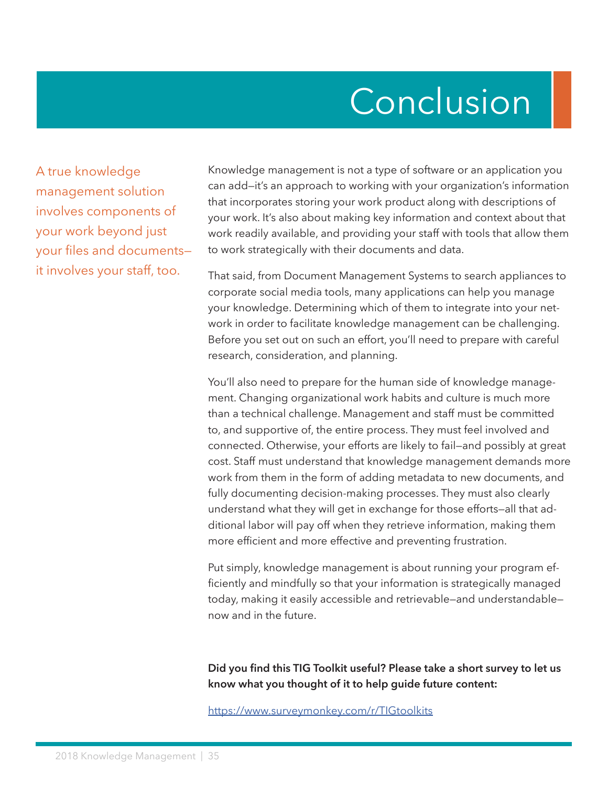## Conclusion

<span id="page-34-0"></span>A true knowledge management solution involves components of your work beyond just your files and documents it involves your staff, too.

Knowledge management is not a type of software or an application you can add—it's an approach to working with your organization's information that incorporates storing your work product along with descriptions of your work. It's also about making key information and context about that work readily available, and providing your staff with tools that allow them to work strategically with their documents and data.

That said, from Document Management Systems to search appliances to corporate social media tools, many applications can help you manage your knowledge. Determining which of them to integrate into your network in order to facilitate knowledge management can be challenging. Before you set out on such an effort, you'll need to prepare with careful research, consideration, and planning.

You'll also need to prepare for the human side of knowledge management. Changing organizational work habits and culture is much more than a technical challenge. Management and staff must be committed to, and supportive of, the entire process. They must feel involved and connected. Otherwise, your efforts are likely to fail—and possibly at great cost. Staff must understand that knowledge management demands more work from them in the form of adding metadata to new documents, and fully documenting decision-making processes. They must also clearly understand what they will get in exchange for those efforts—all that additional labor will pay off when they retrieve information, making them more efficient and more effective and preventing frustration.

Put simply, knowledge management is about running your program efficiently and mindfully so that your information is strategically managed today, making it easily accessible and retrievable—and understandable now and in the future.

**Did you find this TIG Toolkit useful? Please take a short survey to let us know what you thought of it to help guide future content:**

<https://www.surveymonkey.com/r/TIGtoolkits>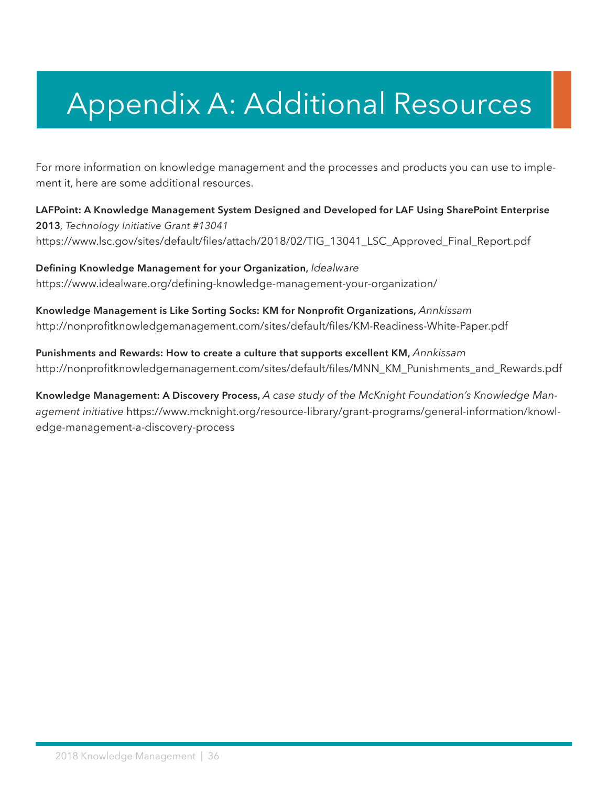## <span id="page-35-0"></span>Appendix A: Additional Resources

For more information on knowledge management and the processes and products you can use to implement it, here are some additional resources.

**LAFPoint: A Knowledge Management System Designed and Developed for LAF Using SharePoint Enterprise 2013***, Technology Initiative Grant #13041* [https://www.lsc.gov/sites/default/files/attach/2018/02/TIG\\_13041\\_LSC\\_Approved\\_Final\\_Report.pdf](https://www.lsc.gov/sites/default/files/attach/2018/02/TIG_13041_LSC_Approved_Final_Report.pdf)

**Defining Knowledge Management for your Organization,** *Idealware* <https://www.idealware.org/defining-knowledge-management-your-organization/>

**Knowledge Management is Like Sorting Socks: KM for Nonprofit Organizations,** *Annkissam* <http://nonprofitknowledgemanagement.com/sites/default/files/KM-Readiness-White-Paper.pdf>

**Punishments and Rewards: How to create a culture that supports excellent KM,** *Annkissam* [http://nonprofitknowledgemanagement.com/sites/default/files/MNN\\_KM\\_Punishments\\_and\\_Rewards.pdf](http://nonprofitknowledgemanagement.com/sites/default/files/MNN_KM_Punishments_and_Rewards.pdf)

**Knowledge Management: A Discovery Process,** *A case study of the McKnight Foundation's Knowledge Management initiative* [https://www.mcknight.org/resource-library/grant-programs/general-information/knowl](https://www.mcknight.org/resource-library/grant-programs/general-information/knowledge-management-a-discovery-process)[edge-management-a-discovery-process](https://www.mcknight.org/resource-library/grant-programs/general-information/knowledge-management-a-discovery-process)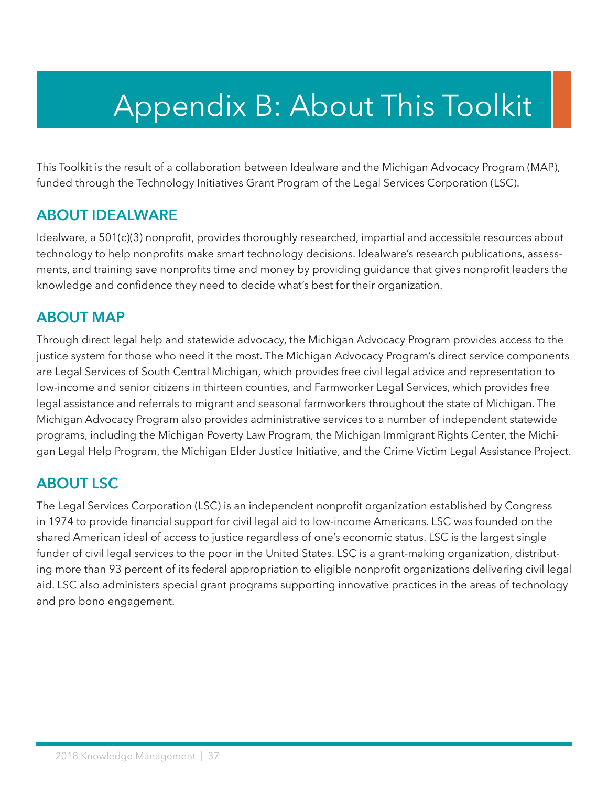## <span id="page-36-0"></span>Appendix B: About This Toolkit

This Toolkit is the result of a collaboration between Idealware and the Michigan Advocacy Program (MAP), funded through the Technology Initiatives Grant Program of the Legal Services Corporation (LSC).

#### **ABOUT IDEALWARE**

Idealware, a 501(c)(3) nonprofit, provides thoroughly researched, impartial and accessible resources about technology to help nonprofits make smart technology decisions. Idealware's research publications, assessments, and training save nonprofits time and money by providing guidance that gives nonprofit leaders the knowledge and confidence they need to decide what's best for their organization.

#### **ABOUT MAP**

Through direct legal help and statewide advocacy, the Michigan Advocacy Program provides access to the justice system for those who need it the most. The Michigan Advocacy Program's direct service components are Legal Services of South Central Michigan, which provides free civil legal advice and representation to low-income and senior citizens in thirteen counties, and Farmworker Legal Services, which provides free legal assistance and referrals to migrant and seasonal farmworkers throughout the state of Michigan. The Michigan Advocacy Program also provides administrative services to a number of independent statewide programs, including the Michigan Poverty Law Program, the Michigan Immigrant Rights Center, the Michigan Legal Help Program, the Michigan Elder Justice Initiative, and the Crime Victim Legal Assistance Project.

#### **ABOUT LSC**

The Legal Services Corporation (LSC) is an independent nonprofit organization established by Congress in 1974 to provide financial support for civil legal aid to low-income Americans. LSC was founded on the shared American ideal of access to justice regardless of one's economic status. LSC is the largest single funder of civil legal services to the poor in the United States. LSC is a grant-making organization, distributing more than 93 percent of its federal appropriation to eligible nonprofit organizations delivering civil legal aid. LSC also administers special grant programs supporting innovative practices in the areas of technology and pro bono engagement.